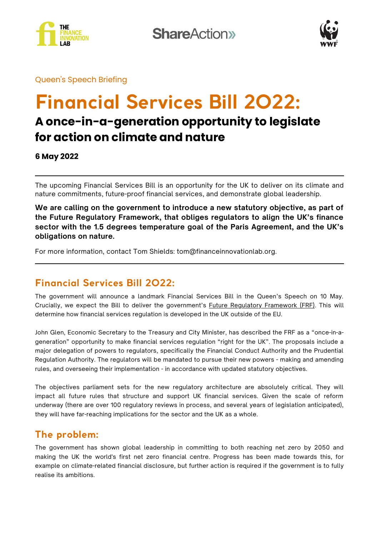

**ShareAction** 



Queen's Speech Briefing

# **Financial Services Bill 2022: A once-in-a-generation opportunity to legislate for action on climate and nature**

**6 May 2022**

The upcoming Financial Services Bill is an opportunity for the UK to deliver on its climate and nature commitments, future-proof financial services, and demonstrate global leadership.

**We are calling on the government to introduce a new statutory objective, as part of the Future Regulatory Framework, that obliges regulators to align the UK's finance sector with the 1.5 degrees temperature goal of the Paris Agreement, and the UK's obligations on nature.**

For more information, contact Tom Shields: [tom@financeinnovationlab.org.](mailto:tom@financeinnovationlab.org)

# **Financial Services Bill 2022:**

The government will announce a landmark Financial Services Bill in the Queen's Speech on 10 May. Crucially, we expect the Bill to deliver the government's **Future Regulatory [Framework](https://www.gov.uk/government/consultations/future-regulatory-framework-frf-review-proposals-for-reform?utm_medium=email&utm_campaign=govuk-notifications&utm_source=e419a515-0f4c-4423-aa83-bfe942e16b1a&utm_content=immediately) (FRF)**. This will determine how financial services regulation is developed in the UK outside of the EU.

John Glen, Economic Secretary to the Treasury and City Minister, has described the FRF as a "once-in-ageneration" opportunity to make financial services regulation "right for the UK". The proposals include a major delegation of powers to regulators, specifically the Financial Conduct Authority and the Prudential Regulation Authority. The regulators will be mandated to pursue their new powers - making and amending rules, and overseeing their implementation - in accordance with updated statutory objectives.

The objectives parliament sets for the new regulatory architecture are absolutely critical. They will impact all future rules that structure and support UK financial services. Given the scale of reform underway (there are over 100 regulatory reviews in process, and several years of legislation anticipated), they will have far-reaching implications for the sector and the UK as a whole.

# **The problem:**

The government has shown global leadership in committing to both reaching net zero by 2050 and making the UK the world's first net zero financial centre. Progress has been made towards this, for example on climate-related financial disclosure, but further action is required if the government is to fully realise its ambitions.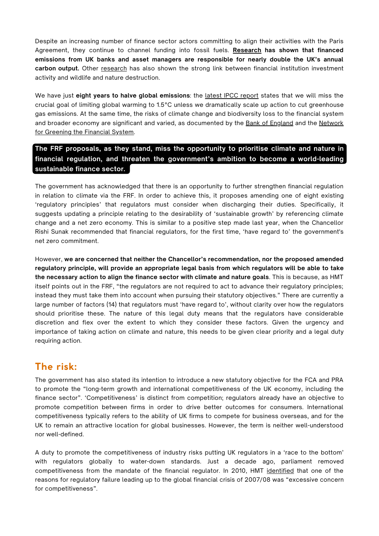Despite an increasing number of finance sector actors committing to align their activities with the Paris Agreement, they continue to channel funding into fossil fuels. **[Research](https://www.wwf.org.uk/updates/uk-banks-and-investors-responsible-more-co2-emissions) has shown that financed emissions from UK banks and asset managers are responsible for nearly double the UK's annual carbon output.** Other [research](https://portfolio.earth/) has also shown the strong link between financial institution investment activity and wildlife and nature destruction.

We have just **eight years to halve global emissions**: the latest IPCC [report](https://www.ipcc.ch/2022/04/04/ipcc-ar6-wgiii-pressrelease/) states that we will miss the crucial goal of limiting global warming to 1.5°C unless we dramatically scale up action to cut greenhouse gas emissions. At the same time, the risks of climate change and biodiversity loss to the financial system and broader economy are significant and varied, as [documented](https://www.ngfs.net/sites/default/files/medias/documents/central_banking_and_supervision_in_the_biosphere.pdf#page=10&zoom=auto,-82,7) by the Bank of [England](https://www.bankofengland.co.uk/climate-change) and the Network for Greening the Financial System.

#### The FRF proposals, as they stand, miss the opportunity to prioritise climate and nature in **regulation, and threaten the government's ambition to become a world-leading sustainable finance financial regulation, and threaten the government's ambition to become <sup>a</sup> world-leadingsustainable finance sector.**sustainable finance sector.

The government has acknowledged that there is an opportunity to further strengthen financial regulation in relation to climate via the FRF. In order to achieve this, it proposes amending one of eight existing 'regulatory principles' that regulators must consider when discharging their duties. Specifically, it suggests updating a principle relating to the desirability of 'sustainable growth' by referencing climate change and a net zero economy. This is similar to a positive step made last year, when the Chancellor Rishi Sunak recommended that financial regulators, for the first time, 'have regard to' the government's net zero commitment.

However, **we are concerned that neither the Chancellor's recommendation, nor the proposed amended regulatory principle, will provide an appropriate legal basis from which regulators will be able to take the necessary action to align the finance sector with climate and nature goals**. This is because, as HMT itself points out in the FRF, "the regulators are not required to act to advance their regulatory principles; instead they must take them into account when pursuing their statutory objectives." There are currently a large number of factors (14) that regulators must 'have regard to', without clarity over how the regulators should prioritise these. The nature of this legal duty means that the regulators have considerable discretion and flex over the extent to which they consider these factors. Given the urgency and importance of taking action on climate and nature, this needs to be given clear priority and a legal duty requiring action.

## **The risk:**

The government has also stated its intention to introduce a new statutory objective for the FCA and PRA to promote the "long-term growth and international competitiveness of the UK economy, including the finance sector". 'Competitiveness' is distinct from competition; regulators already have an objective to promote competition between firms in order to drive better outcomes for consumers. International competitiveness typically refers to the ability of UK firms to compete for business overseas, and for the UK to remain an attractive location for global businesses. However, the term is neither well-understood nor well-defined.

A duty to promote the competitiveness of industry risks putting UK regulators in a 'race to the bottom' with regulators globally to water-down standards. Just a decade ago, parliament removed competitiveness from the mandate of the financial regulator. In 2010, HMT [identified](https://assets.publishing.service.gov.uk/government/uploads/system/uploads/attachment_data/file/81389/consult_financial_regulation_condoc.pdf) that one of the reasons for regulatory failure leading up to the global financial crisis of 2007/08 was "excessive concern for competitiveness".